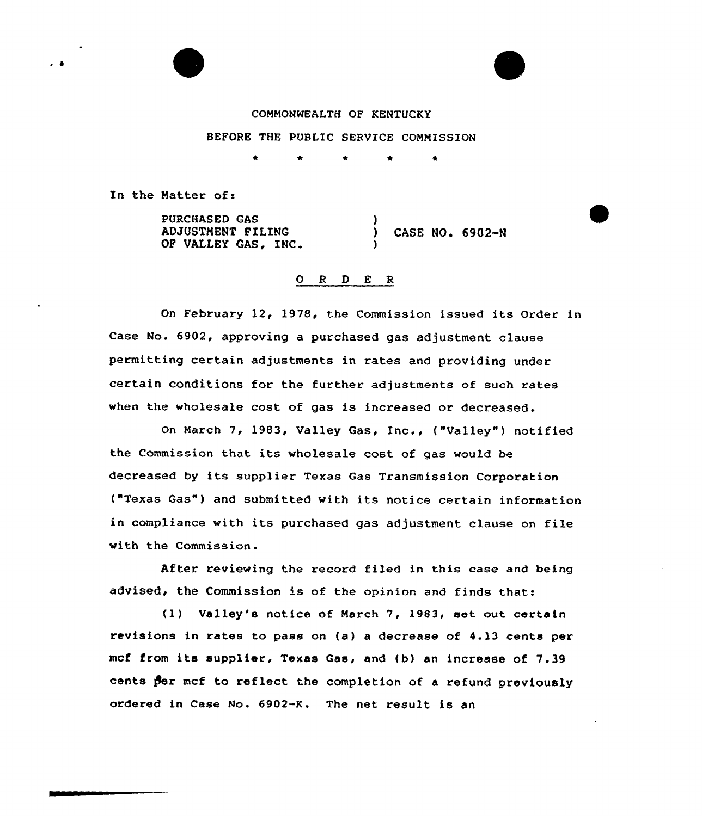# COMMONWEALTH OF KENTUCKY

### BEFORE THE PUBLIC SERVICE COMMISSION

 $\bullet$ 

In the Natter of:

PURCHASED GAS ADJUSTMENT FILING OF VALLEY GAS, INC. ) ) CASE NO. 6902-N )

### O R D E R

On February 12, 1978, the Commission issued its Order in Case No. 6902, approving a purchased gas adjustment clause permitting certain adjustments in rates and providing under certain conditions for the further adjustments of such rates when the wholesale cost of gas is increased or decreased.

On March 7, 1983, Valley Gas, Inc., ("Valley") notified the Commission that its wholesale cost of gas would be decreased by its supplier Texas Gas Transmission Corporation ("Texas Gas") and submitted with its notice certain information in compliance with its purchased gas adjustment clause on file with the Commission.

After reviewing the record filed in this ease and being advised, the Commission is of the opinion and finds that:

(l) Valley's notice of March 7, 1983, eet out certain revisions in rates to pass on (a) a decrease of 4.13 cents per mcf from its supplier, Texas Gas, and (b) an increase of 7.39 cents per mcf to reflect the completion of a refund previously ordered in Case No. 6902-K. The net result is an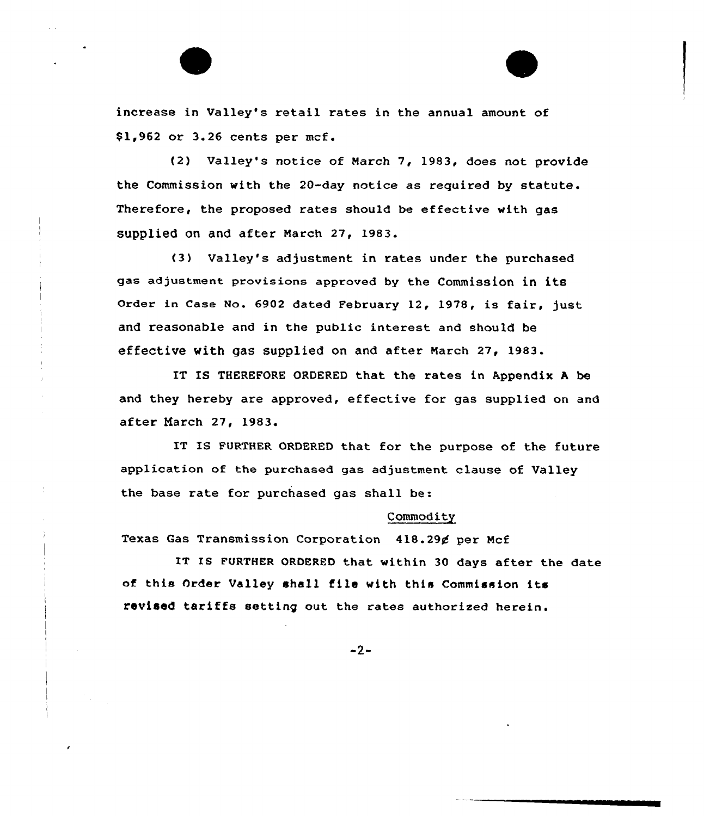increase in Valley's retail rates in the annual amount of \$ 1,962 or 3.26 cents per mcf.

(2) Valley's notice of Narch 7, 19S3, does not provide the Commission with the 20-day notice as required by statute. Therefore, the proposed rates should be effective with gas supplied on and after Narch 27, 1983.

(3> Valley's adjustment in rates under the purchased gas adjustment provisions approved by the Commission in its Order in Case No. 6902 dated February 12, 1978, is fair, just and reasonable and in the public interest and should be effective with gas supplied on and after Narch 27, 1983.

IT IS THEREFORE ORDERED that the rates in Appendix <sup>A</sup> be and they hereby are approved, effective for gas supplied on and after Narch 27, 19S3.

IT Is FURTHER QRDERED that for the purpose of the future application of the purchased gas adjustment clause of Valley the base rate for purchased gas shall be:

### Commodity

Texas Gas Transmission Corporation 418.29¢ per Mcf

IT IS FURTHER ORDERED that within 30 days after the date of this Order Valley shall file with this Commission its revised tariffs setting out the rates authorized herein.

 $-2-$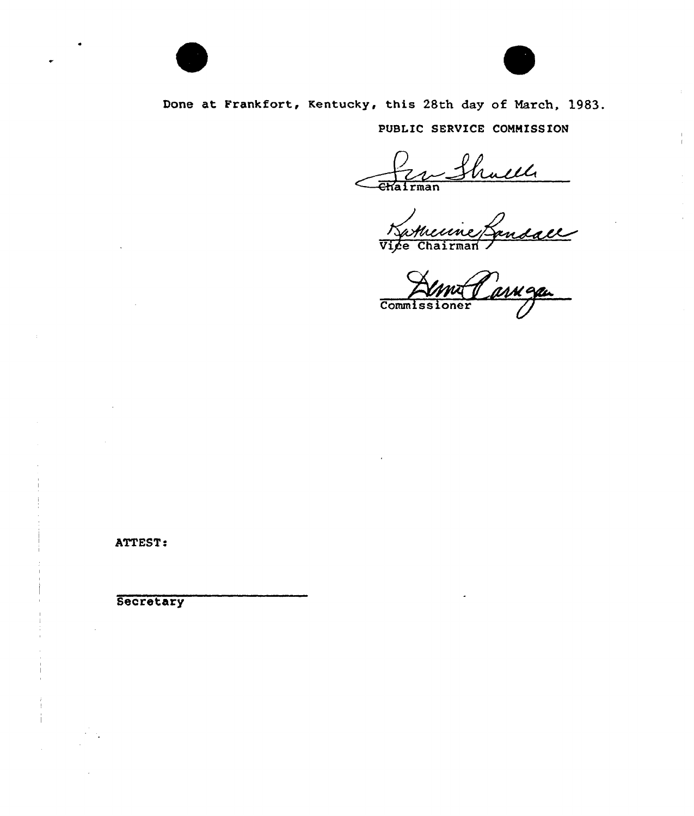



 $\bar{z}$ 

Done at Frankfort, Kentucky, this 28th day of March, 1983. PUBLIC SERVICE COMMISSION

Vice Chairman Z

**Commissione** 

ATTEST:

**Secretary**